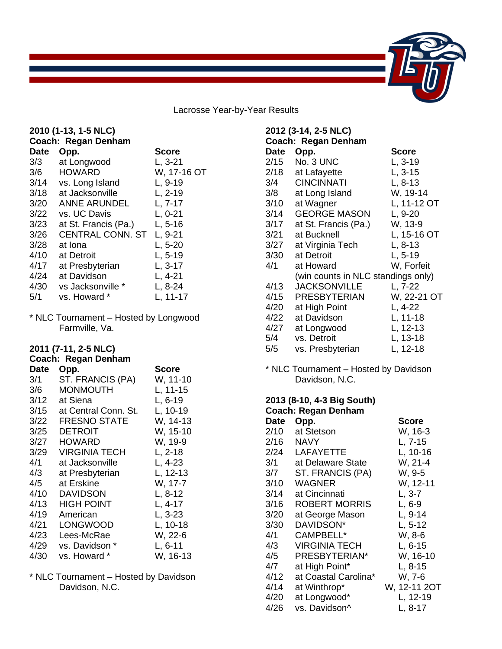

Lacrosse Year-by-Year Results

| 2010 (1-13, 1-5 NLC)<br>Coach: Regan Denham |                         |             |  |
|---------------------------------------------|-------------------------|-------------|--|
| <b>Date</b>                                 | Opp.                    | Score       |  |
| 3/3                                         | at Longwood             | $L, 3-21$   |  |
| 3/6                                         | <b>HOWARD</b>           | W, 17-16 OT |  |
| 3/14                                        | vs. Long Island         | $L, 9-19$   |  |
| 3/18                                        | at Jacksonville         | $L, 2-19$   |  |
| 3/20                                        | <b>ANNE ARUNDEL</b>     | $L, 7-17$   |  |
| 3/22                                        | vs. UC Davis            | $L, 0-21$   |  |
| 3/23                                        | at St. Francis (Pa.)    | $L, 5-16$   |  |
| 3/26                                        | <b>CENTRAL CONN. ST</b> | L, 9-21     |  |
| 3/28                                        | at Iona                 | $L, 5-20$   |  |
| 4/10                                        | at Detroit              | L, 5-19     |  |
| 4/17                                        | at Presbyterian         | $L, 3-17$   |  |
| 4/24                                        | at Davidson             | $L, 4-21$   |  |
| 4/30                                        | vs Jacksonville *       | $L, 8-24$   |  |
| 5/1                                         | vs. Howard *            | L. 11-17    |  |
|                                             |                         |             |  |

\* NLC Tournament – Hosted by Longwood Farmville, Va.

# **2011 (7-11, 2-5 NLC)**

# **Coach: Regan Denham**

| Date | Opp.                 | Score     |
|------|----------------------|-----------|
| 3/1  | ST. FRANCIS (PA)     | W, 11-10  |
| 3/6  | MONMOUTH             | L, 11-15  |
| 3/12 | at Siena             | L, 6-19   |
| 3/15 | at Central Conn. St. | L, 10-19  |
| 3/22 | <b>FRESNO STATE</b>  | W, 14-13  |
| 3/25 | <b>DETROIT</b>       | W, 15-10  |
| 3/27 | HOWARD               | W, 19-9   |
| 3/29 | VIRGINIA TECH        | $L, 2-18$ |
| 4/1  | at Jacksonville      | L, 4-23   |
| 4/3  | at Presbyterian      | L, 12-13  |
| 4/5  | at Erskine           | W, 17-7   |
| 4/10 | DAVIDSON             | $L, 8-12$ |
| 4/13 | HIGH POINT           | $L, 4-17$ |
| 4/19 | American             | L, 3-23   |
| 4/21 | LONGWOOD             | L, 10-18  |
| 4/23 | Lees-McRae           | W, 22-6   |
| 4/29 | vs. Davidson *       | $L, 6-11$ |
| 4/30 | vs. Howard *         | W, 16-13  |

\* NLC Tournament – Hosted by Davidson Davidson, N.C.

| 2012 (3-14, 2-5 NLC)<br>Coach: Regan Denham |                                    |              |  |
|---------------------------------------------|------------------------------------|--------------|--|
| Date                                        | Opp.                               | <b>Score</b> |  |
| 2/15                                        | No. 3 UNC                          | L, 3-19      |  |
| 2/18                                        | at Lafayette                       | $L, 3-15$    |  |
| 3/4                                         | <b>CINCINNATI</b>                  | $L, 8-13$    |  |
| 3/8                                         | at Long Island                     | W, 19-14     |  |
| 3/10                                        | at Wagner                          | L, 11-12 OT  |  |
| 3/14                                        | <b>GEORGE MASON</b>                | $L, 9-20$    |  |
| 3/17                                        | at St. Francis (Pa.)               | W, 13-9      |  |
| 3/21                                        | at Bucknell                        | L, 15-16 OT  |  |
| 3/27                                        | at Virginia Tech                   | $L, 8-13$    |  |
| 3/30                                        | at Detroit                         | $L, 5-19$    |  |
| 4/1                                         | at Howard                          | W, Forfeit   |  |
|                                             | (win counts in NLC standings only) |              |  |
| 4/13                                        | <b>JACKSONVILLE</b>                | L, 7-22      |  |
| 4/15                                        | <b>PRESBYTERIAN</b>                | W, 22-21 OT  |  |
| 4/20                                        | at High Point                      | L, 4-22      |  |
| 4/22                                        | at Davidson                        | $L, 11-18$   |  |
| 4/27                                        | at Longwood                        | L, 12-13     |  |
| 5/4                                         | vs. Detroit                        | L, 13-18     |  |
| 5/5                                         | vs. Presbyterian                   | L, 12-18     |  |

\* NLC Tournament – Hosted by Davidson Davidson, N.C.

#### **2013 (8-10, 4-3 Big South) Coach: Regan Denham**

| <b>Date</b> | Opp.                 | Score        |
|-------------|----------------------|--------------|
| 2/10        | at Stetson           | W, 16-3      |
| 2/16        | NAVY                 | L, 7-15      |
| 2/24        | <b>LAFAYETTE</b>     | L, 10-16     |
| 3/1         | at Delaware State    | W, 21-4      |
| 3/7         | ST. FRANCIS (PA)     | W, 9-5       |
| 3/10        | <b>WAGNER</b>        | W, 12-11     |
| 3/14        | at Cincinnati        | L, 3-7       |
| 3/16        | ROBERT MORRIS        | L, 6-9       |
| 3/20        | at George Mason      | L, 9-14      |
| 3/30        | DAVIDSON*            | $L, 5-12$    |
| 4/1         | CAMPBELL*            | W, 8-6       |
| 4/3         | <b>VIRGINIA TECH</b> | $L, 6-15$    |
| 4/5         | PRESBYTERIAN*        | W, 16-10     |
| 4/7         | at High Point*       | $L, 8-15$    |
| 4/12        | at Coastal Carolina* | W, 7-6       |
| 4/14        | at Winthrop*         | W, 12-11 2OT |
| 4/20        | at Longwood*         | L, 12-19     |
| 4/26        | vs. Davidson^        | L, 8-17      |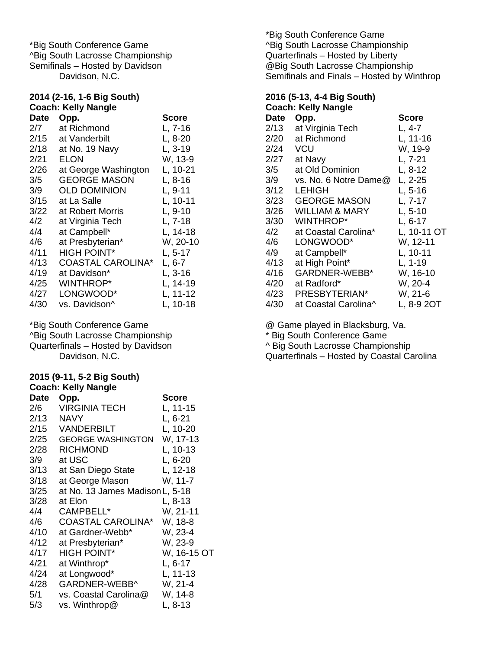\*Big South Conference Game ^Big South Lacrosse Championship Semifinals – Hosted by Davidson Davidson, N.C.

## **2014 (2-16, 1-6 Big South) Coach: Kelly Nangle**

| <b>Date</b> | Opp.                     | <b>Score</b> |
|-------------|--------------------------|--------------|
| 2/7         | at Richmond              | $L, 7-16$    |
| 2/15        | at Vanderbilt            | $L, 8-20$    |
| 2/18        | at No. 19 Navy           | L, 3-19      |
| 2/21        | ELON                     | W, 13-9      |
| 2/26        | at George Washington     | L, 10-21     |
| 3/5         | GEORGE MASON             | L, 8-16      |
| 3/9         | <b>OLD DOMINION</b>      | L, 9-11      |
| 3/15        | at La Salle              | L, 10-11     |
| 3/22        | at Robert Morris         | $L, 9-10$    |
| 4/2         | at Virginia Tech         | L, 7-18      |
| 4/4         | at Campbell*             | L, 14-18     |
| 4/6         | at Presbyterian*         | W, 20-10     |
| 4/11        | <b>HIGH POINT*</b>       | L, 5-17      |
| 4/13        | <b>COASTAL CAROLINA*</b> | L, 6-7       |
| 4/19        | at Davidson*             | L, 3-16      |
| 4/25        | <b>WINTHROP*</b>         | L, 14-19     |
| 4/27        | LONGWOOD*                | L, 11-12     |
| 4/30        | vs. Davidson^            | L, 10-18     |

\*Big South Conference Game ^Big South Lacrosse Championship Quarterfinals – Hosted by Davidson Davidson, N.C.

## **2015 (9-11, 5-2 Big South)**

| <b>Coach: Kelly Nangle</b> |                                 |              |  |
|----------------------------|---------------------------------|--------------|--|
| <b>Date</b>                | Opp.                            | <b>Score</b> |  |
| 2/6                        | <b>VIRGINIA TECH</b>            | L, 11-15     |  |
| 2/13                       | <b>NAVY</b>                     | $L, 6-21$    |  |
| 2/15                       | <b>VANDERBILT</b>               | L, 10-20     |  |
| 2/25                       | <b>GEORGE WASHINGTON</b>        | W, 17-13     |  |
| 2/28                       | <b>RICHMOND</b>                 | L, 10-13     |  |
| 3/9                        | at USC                          | $L, 6-20$    |  |
| 3/13                       | at San Diego State              | L, 12-18     |  |
| 3/18                       | at George Mason                 | W, 11-7      |  |
| 3/25                       | at No. 13 James Madison L, 5-18 |              |  |
| 3/28                       | at Elon                         | $L, 8-13$    |  |
| 4/4                        | CAMPBELL*                       | W, 21-11     |  |
| 4/6                        | <b>COASTAL CAROLINA*</b>        | W, 18-8      |  |
| 4/10                       | at Gardner-Webb*                | W, 23-4      |  |
| 4/12                       | at Presbyterian*                | W, 23-9      |  |
| 4/17                       | <b>HIGH POINT*</b>              | W, 16-15 OT  |  |
| 4/21                       | at Winthrop*                    | $L, 6-17$    |  |
| 4/24                       | at Longwood*                    | $L, 11-13$   |  |
| 4/28                       | GARDNER-WEBB^                   | W, 21-4      |  |
| 5/1                        | vs. Coastal Carolina@           | W, 14-8      |  |
| 5/3                        | vs. Winthrop@                   | L, 8-13      |  |

\*Big South Conference Game ^Big South Lacrosse Championship Quarterfinals – Hosted by Liberty @Big South Lacrosse Championship Semifinals and Finals – Hosted by Winthrop

#### **2016 (5-13, 4-4 Big South) Coach: Kelly Nangle**

|      | oaani iyo iyo iyo iyo |              |
|------|-----------------------|--------------|
| Date | Opp.                  | <b>Score</b> |
| 2/13 | at Virginia Tech      | $L, 4-7$     |
| 2/20 | at Richmond           | $L, 11-16$   |
| 2/24 | VCU                   | W, 19-9      |
| 2/27 | at Navy               | L, 7-21      |
| 3/5  | at Old Dominion       | L, 8-12      |
| 3/9  | vs. No. 6 Notre Dame@ | $L, 2-25$    |
| 3/12 | LEHIGH                | $L, 5-16$    |
| 3/23 | <b>GEORGE MASON</b>   | $L, 7-17$    |
| 3/26 | WILLIAM & MARY        | $L, 5-10$    |
| 3/30 | WINTHROP*             | $L, 6-17$    |
| 4/2  | at Coastal Carolina*  | L, 10-11 OT  |
| 4/6  | LONGWOOD*             | W, 12-11     |
| 4/9  | at Campbell*          | L, 10-11     |
| 4/13 | at High Point*        | $L, 1-19$    |
| 4/16 | GARDNER-WEBB*         | W, 16-10     |
| 4/20 | at Radford*           | W, 20-4      |
| 4/23 | PRESBYTERIAN*         | W, 21-6      |
| 4/30 | at Coastal Carolina^  | L, 8-9 2OT   |

@ Game played in Blacksburg, Va.

\* Big South Conference Game

^ Big South Lacrosse Championship

Quarterfinals – Hosted by Coastal Carolina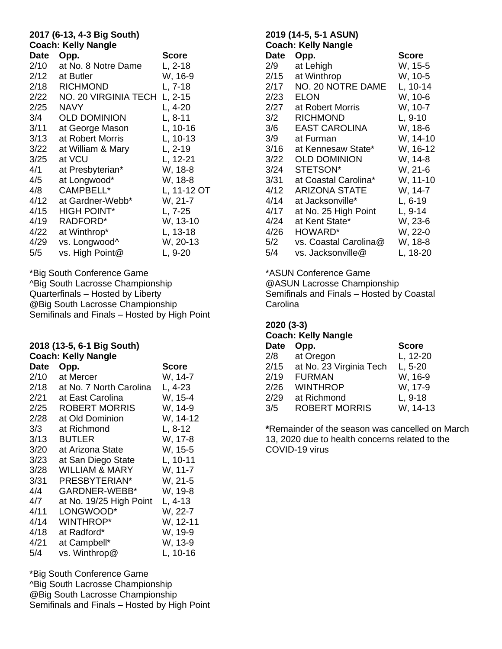## **2017 (6-13, 4-3 Big South) Coach: Kelly Nangle**

|             | Coach: Kelly Nangle  |             |
|-------------|----------------------|-------------|
| <b>Date</b> | Opp.                 | Score       |
| 2/10        | at No. 8 Notre Dame  | $L, 2-18$   |
| 2/12        | at Butler            | W, 16-9     |
| 2/18        | <b>RICHMOND</b>      | $L, 7-18$   |
| 2/22        | NO. 20 VIRGINIA TECH | $L, 2-15$   |
| 2/25        | <b>NAVY</b>          | $L, 4-20$   |
| 3/4         | <b>OLD DOMINION</b>  | L, 8-11     |
| 3/11        | at George Mason      | $L, 10-16$  |
| 3/13        | at Robert Morris     | L, 10-13    |
| 3/22        | at William & Mary    | $L, 2-19$   |
| 3/25        | at VCU               | L, 12-21    |
| 4/1         | at Presbyterian*     | W, 18-8     |
| 4/5         | at Longwood*         | W, 18-8     |
| 4/8         | CAMPBELL*            | L, 11-12 OT |
| 4/12        | at Gardner-Webb*     | W, 21-7     |
| 4/15        | <b>HIGH POINT*</b>   | L, 7-25     |
| 4/19        | RADFORD*             | W, 13-10    |
| 4/22        | at Winthrop*         | L, 13-18    |
| 4/29        | vs. Longwood^        | W, 20-13    |
| 5/5         | vs. High Point@      | L, 9-20     |

\*Big South Conference Game ^Big South Lacrosse Championship Quarterfinals – Hosted by Liberty @Big South Lacrosse Championship Semifinals and Finals – Hosted by High Point

#### **2018 (13-5, 6-1 Big South) Coach: Kelly Nangle**

|             | Coach: Relly Nangle       |           |
|-------------|---------------------------|-----------|
| <b>Date</b> | Opp.                      | Score     |
| 2/10        | at Mercer                 | W, 14-7   |
| 2/18        | at No. 7 North Carolina   | $L, 4-23$ |
| 2/21        | at East Carolina          | W, 15-4   |
| 2/25        | ROBERT MORRIS             | W, 14-9   |
| 2/28        | at Old Dominion           | W, 14-12  |
| 3/3         | at Richmond               | L, 8-12   |
| 3/13        | <b>BUTLER</b>             | W, 17-8   |
| 3/20        | at Arizona State          | W, 15-5   |
| 3/23        | at San Diego State        | L, 10-11  |
| 3/28        | <b>WILLIAM &amp; MARY</b> | W, 11-7   |
| 3/31        | PRESBYTERIAN*             | W, 21-5   |
| 4/4         | GARDNER-WEBB*             | W, 19-8   |
| 4/7         | at No. 19/25 High Point   | L, 4-13   |
| 4/11        | LONGWOOD*                 | W, 22-7   |
| 4/14        | <b>WINTHROP*</b>          | W, 12-11  |
| 4/18        | at Radford*               | W, 19-9   |
| 4/21        | at Campbell*              | W, 13-9   |
| 5/4         | vs. Winthrop@             | L, 10-16  |

\*Big South Conference Game ^Big South Lacrosse Championship @Big South Lacrosse Championship Semifinals and Finals – Hosted by High Point

### **2019 (14-5, 5-1 ASUN) Coach: Kelly Nangle Date Opp. Score** 2/9 at Lehigh W, 15-5 2/15 at Winthrop W, 10-5 2/17 NO. 20 NOTRE DAME L, 10-14 2/23 ELON W, 10-6 2/27 at Robert Morris W, 10-7 3/2 RICHMOND L, 9-10 3/6 EAST CAROLINA W, 18-6 3/9 at Furman W, 14-10 3/16 at Kennesaw State\* W, 16-12 3/22 OLD DOMINION W, 14-8 3/24 STETSON\* W, 21-6 3/31 at Coastal Carolina\* W, 11-10 4/12 ARIZONA STATE W, 14-7 4/14 at Jacksonville\* L, 6-19 4/17 at No. 25 High Point L, 9-14 4/24 at Kent State\* W, 23-6 4/26 HOWARD\* W, 22-0 5/2 vs. Coastal Carolina@ W, 18-8 5/4 vs. Jacksonville@ L, 18-20

\*ASUN Conference Game @ASUN Lacrosse Championship Semifinals and Finals – Hosted by Coastal **Carolina** 

**2020 (3-3) Coach: Kelly Nangle Date Opp. Score** 2/8 at Oregon L, 12-20 2/15 at No. 23 Virginia Tech L, 5-20 2/19 FURMAN W, 16-9 2/26 WINTHROP W, 17-9

2/29 at Richmond L, 9-18

3/5 ROBERT MORRIS W, 14-13 **\***Remainder of the season was cancelled on March 13, 2020 due to health concerns related to the COVID-19 virus